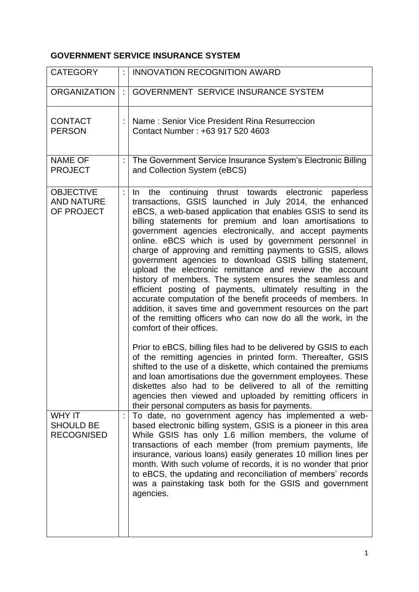## **GOVERNMENT SERVICE INSURANCE SYSTEM**

| <b>CATEGORY</b>                                        |   | <b>INNOVATION RECOGNITION AWARD</b>                                                                                                                                                                                                                                                                                                                                                                                                                                                                                                                                                                                                                                                                                                                                                                                                                                                                                |
|--------------------------------------------------------|---|--------------------------------------------------------------------------------------------------------------------------------------------------------------------------------------------------------------------------------------------------------------------------------------------------------------------------------------------------------------------------------------------------------------------------------------------------------------------------------------------------------------------------------------------------------------------------------------------------------------------------------------------------------------------------------------------------------------------------------------------------------------------------------------------------------------------------------------------------------------------------------------------------------------------|
| <b>ORGANIZATION</b>                                    | ÷ | <b>GOVERNMENT SERVICE INSURANCE SYSTEM</b>                                                                                                                                                                                                                                                                                                                                                                                                                                                                                                                                                                                                                                                                                                                                                                                                                                                                         |
| <b>CONTACT</b><br><b>PERSON</b>                        |   | Name: Senior Vice President Rina Resurreccion<br>Contact Number: +63 917 520 4603                                                                                                                                                                                                                                                                                                                                                                                                                                                                                                                                                                                                                                                                                                                                                                                                                                  |
| <b>NAME OF</b><br><b>PROJECT</b>                       |   | The Government Service Insurance System's Electronic Billing<br>and Collection System (eBCS)                                                                                                                                                                                                                                                                                                                                                                                                                                                                                                                                                                                                                                                                                                                                                                                                                       |
| <b>OBJECTIVE</b><br><b>AND NATURE</b><br>OF PROJECT    |   | continuing thrust towards electronic<br>In.<br>the<br>paperless<br>transactions, GSIS launched in July 2014, the enhanced<br>eBCS, a web-based application that enables GSIS to send its<br>billing statements for premium and loan amortisations to<br>government agencies electronically, and accept payments<br>online. eBCS which is used by government personnel in<br>charge of approving and remitting payments to GSIS, allows<br>government agencies to download GSIS billing statement,<br>upload the electronic remittance and review the account<br>history of members. The system ensures the seamless and<br>efficient posting of payments, ultimately resulting in the<br>accurate computation of the benefit proceeds of members. In<br>addition, it saves time and government resources on the part<br>of the remitting officers who can now do all the work, in the<br>comfort of their offices. |
|                                                        |   | Prior to eBCS, billing files had to be delivered by GSIS to each<br>of the remitting agencies in printed form. Thereafter, GSIS<br>shifted to the use of a diskette, which contained the premiums<br>and loan amortisations due the government employees. These<br>diskettes also had to be delivered to all of the remitting<br>agencies then viewed and uploaded by remitting officers in<br>their personal computers as basis for payments.                                                                                                                                                                                                                                                                                                                                                                                                                                                                     |
| <b>WHY IT</b><br><b>SHOULD BE</b><br><b>RECOGNISED</b> |   | To date, no government agency has implemented a web-<br>based electronic billing system, GSIS is a pioneer in this area<br>While GSIS has only 1.6 million members, the volume of<br>transactions of each member (from premium payments, life<br>insurance, various loans) easily generates 10 million lines per<br>month. With such volume of records, it is no wonder that prior<br>to eBCS, the updating and reconciliation of members' records<br>was a painstaking task both for the GSIS and government<br>agencies.                                                                                                                                                                                                                                                                                                                                                                                         |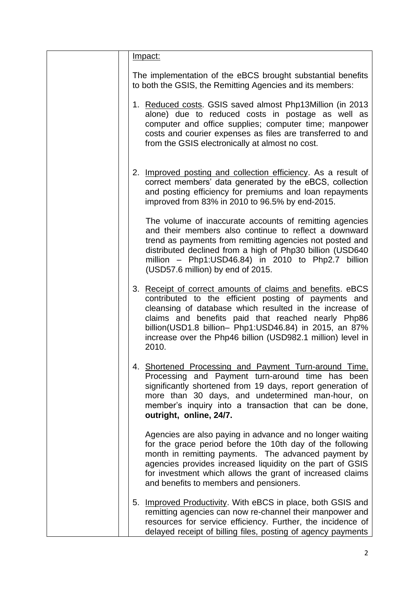| <u>Impact:</u>                                                                                                                                                                                                                                                                                                                                                        |
|-----------------------------------------------------------------------------------------------------------------------------------------------------------------------------------------------------------------------------------------------------------------------------------------------------------------------------------------------------------------------|
|                                                                                                                                                                                                                                                                                                                                                                       |
| The implementation of the eBCS brought substantial benefits<br>to both the GSIS, the Remitting Agencies and its members:                                                                                                                                                                                                                                              |
| 1. Reduced costs. GSIS saved almost Php13Million (in 2013<br>alone) due to reduced costs in postage as well as<br>computer and office supplies; computer time; manpower<br>costs and courier expenses as files are transferred to and<br>from the GSIS electronically at almost no cost.                                                                              |
| 2. Improved posting and collection efficiency. As a result of<br>correct members' data generated by the eBCS, collection<br>and posting efficiency for premiums and loan repayments<br>improved from 83% in 2010 to 96.5% by end-2015.                                                                                                                                |
| The volume of inaccurate accounts of remitting agencies<br>and their members also continue to reflect a downward<br>trend as payments from remitting agencies not posted and<br>distributed declined from a high of Php30 billion (USD640<br>million - Php1:USD46.84) in 2010 to Php2.7 billion<br>(USD57.6 million) by end of 2015.                                  |
| 3. Receipt of correct amounts of claims and benefits. eBCS<br>contributed to the efficient posting of payments and<br>cleansing of database which resulted in the increase of<br>claims and benefits paid that reached nearly Php86<br>billion(USD1.8 billion- Php1:USD46.84) in 2015, an 87%<br>increase over the Php46 billion (USD982.1 million) level in<br>2010. |
| Shortened Processing and Payment Turn-around Time.<br>4.<br>Processing and Payment turn-around time has been<br>significantly shortened from 19 days, report generation of<br>more than 30 days, and undetermined man-hour, on<br>member's inquiry into a transaction that can be done,<br>outright, online, 24/7.                                                    |
| Agencies are also paying in advance and no longer waiting<br>for the grace period before the 10th day of the following<br>month in remitting payments. The advanced payment by<br>agencies provides increased liquidity on the part of GSIS<br>for investment which allows the grant of increased claims<br>and benefits to members and pensioners.                   |
| 5. Improved Productivity. With eBCS in place, both GSIS and<br>remitting agencies can now re-channel their manpower and<br>resources for service efficiency. Further, the incidence of<br>delayed receipt of billing files, posting of agency payments                                                                                                                |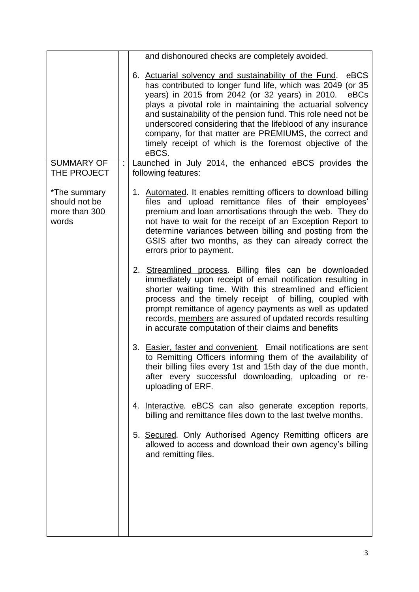|                                                         | and dishonoured checks are completely avoided.                                                                                                                                                                                                                                                                                                                                                                                                                                                                      |
|---------------------------------------------------------|---------------------------------------------------------------------------------------------------------------------------------------------------------------------------------------------------------------------------------------------------------------------------------------------------------------------------------------------------------------------------------------------------------------------------------------------------------------------------------------------------------------------|
|                                                         | eBCS<br>6. Actuarial solvency and sustainability of the Fund.<br>has contributed to longer fund life, which was 2049 (or 35<br>years) in 2015 from 2042 (or 32 years) in 2010.<br>eBCs<br>plays a pivotal role in maintaining the actuarial solvency<br>and sustainability of the pension fund. This role need not be<br>underscored considering that the lifeblood of any insurance<br>company, for that matter are PREMIUMS, the correct and<br>timely receipt of which is the foremost objective of the<br>eBCS. |
| <b>SUMMARY OF</b><br>THE PROJECT                        | Launched in July 2014, the enhanced eBCS provides the<br>following features:                                                                                                                                                                                                                                                                                                                                                                                                                                        |
| *The summary<br>should not be<br>more than 300<br>words | 1. Automated. It enables remitting officers to download billing<br>files and upload remittance files of their employees'<br>premium and loan amortisations through the web. They do<br>not have to wait for the receipt of an Exception Report to<br>determine variances between billing and posting from the<br>GSIS after two months, as they can already correct the<br>errors prior to payment.                                                                                                                 |
|                                                         | 2. Streamlined process. Billing files can be downloaded<br>immediately upon receipt of email notification resulting in<br>shorter waiting time. With this streamlined and efficient<br>process and the timely receipt of billing, coupled with<br>prompt remittance of agency payments as well as updated<br>records, members are assured of updated records resulting<br>in accurate computation of their claims and benefits                                                                                      |
|                                                         | 3. Easier, faster and convenient. Email notifications are sent<br>to Remitting Officers informing them of the availability of<br>their billing files every 1st and 15th day of the due month,<br>after every successful downloading, uploading or re-<br>uploading of ERF.                                                                                                                                                                                                                                          |
|                                                         | 4. Interactive. eBCS can also generate exception reports,<br>billing and remittance files down to the last twelve months.                                                                                                                                                                                                                                                                                                                                                                                           |
|                                                         | 5. Secured. Only Authorised Agency Remitting officers are<br>allowed to access and download their own agency's billing<br>and remitting files.                                                                                                                                                                                                                                                                                                                                                                      |
|                                                         |                                                                                                                                                                                                                                                                                                                                                                                                                                                                                                                     |
|                                                         |                                                                                                                                                                                                                                                                                                                                                                                                                                                                                                                     |